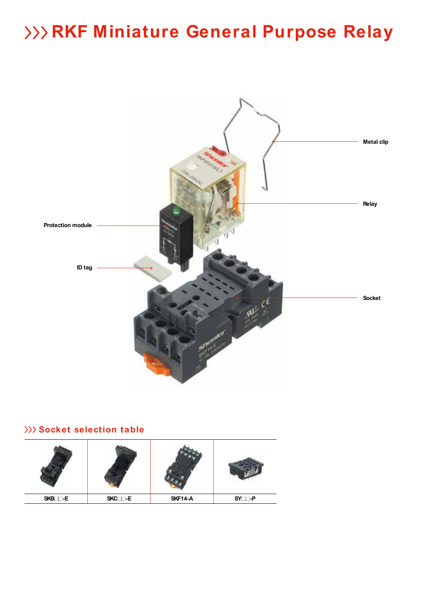

# **Socket selection table**

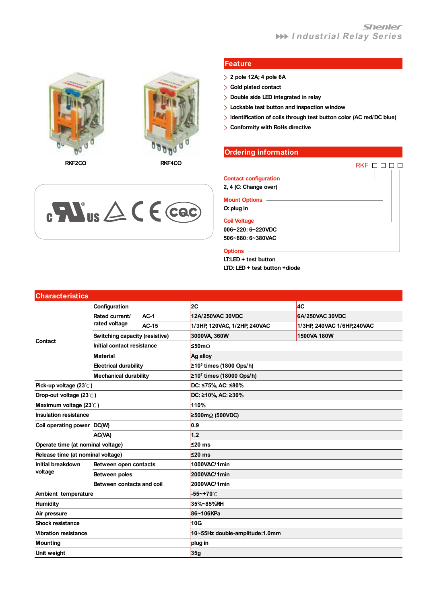



**RKF2CO RKF4CO**

 $c$  **N**<sup>us</sup>  $\triangle$  C E cac

### **Feature**

- **2 pole 12A; 4 pole 6A**
- **Gold plated contact**
- **Double side LED integrated in relay**

**FEATURES**

- **Lockable test button and inspection window**
- **Identification of coils through test button color (AC red/DC blue)**  $\overline{\phantom{0}}$
- **Conformity with RoHs directive**

### **Ordering information**

|                         | RKF |
|-------------------------|-----|
| Contact configuration — |     |
| 2, 4 (C: Change over)   |     |
|                         |     |
| O: plug in              |     |
| <b>Coil Voltage</b>     |     |
| 006~220: 6~220VDC       |     |
| 506~880: 6~380VAC       |     |
| <b>Options</b>          |     |
| LT:LED + test button    |     |

**LTD: LED + test button +diode**

| <b>Characteristics</b>            |                                |              |                                     |                             |  |  |  |  |
|-----------------------------------|--------------------------------|--------------|-------------------------------------|-----------------------------|--|--|--|--|
|                                   | Configuration                  |              | 2C                                  | 4C                          |  |  |  |  |
|                                   | Rated current/                 | $AC-1$       | 12A/250VAC 30VDC                    | 6A/250VAC 30VDC             |  |  |  |  |
|                                   | rated voltage                  | <b>AC-15</b> | 1/3HP, 120VAC, 1/2HP, 240VAC        | 1/3HP, 240VAC 1/6HP, 240VAC |  |  |  |  |
|                                   | Switching capacity (resistive) |              | 3000VA, 360W                        | 1500VA 180W                 |  |  |  |  |
| Contact                           | Initial contact resistance     |              | ≤50m $Ω$                            |                             |  |  |  |  |
|                                   | <b>Material</b>                |              | Ag alloy                            |                             |  |  |  |  |
|                                   | <b>Electrical durability</b>   |              | ≥10 <sup>5</sup> times (1800 Ops/h) |                             |  |  |  |  |
|                                   | <b>Mechanical durability</b>   |              | $≥107$ times (18000 Ops/h)          |                             |  |  |  |  |
| Pick-up voltage (23°C)            |                                |              | DC: ≤75%, AC: ≤80%                  |                             |  |  |  |  |
| Drop-out voltage (23°C)           |                                |              | DC: ≥10%, AC: ≥30%                  |                             |  |  |  |  |
| Maximum voltage (23°C)            |                                |              | 110%                                |                             |  |  |  |  |
| <b>Insulation resistance</b>      |                                |              | ≥500mΩ (500VDC)                     |                             |  |  |  |  |
| Coil operating power DC(W)        |                                |              | 0.9                                 |                             |  |  |  |  |
| AC(VA)                            |                                | $1.2$        |                                     |                             |  |  |  |  |
| Operate time (at nominal voltage) |                                |              | $≤20$ ms                            |                             |  |  |  |  |
| Release time (at nominal voltage) |                                |              | $≤20$ ms                            |                             |  |  |  |  |
| Initial breakdown                 | Between open contacts          |              | 1000VAC/1min                        |                             |  |  |  |  |
| voltage                           | Between poles                  |              | 2000VAC/1min                        |                             |  |  |  |  |
|                                   | Between contacts and coil      |              | 2000VAC/1min                        |                             |  |  |  |  |
| Ambient temperature               |                                |              | -55~+70°C                           |                             |  |  |  |  |
| <b>Humidity</b>                   |                                |              | 35%~85%RH                           |                             |  |  |  |  |
| Air pressure                      |                                |              | 86~106KPa                           |                             |  |  |  |  |
| <b>Shock resistance</b>           |                                |              | 10G                                 |                             |  |  |  |  |
| <b>Vibration resistance</b>       |                                |              | 10~55Hz double-amplitude:1.0mm      |                             |  |  |  |  |
| <b>Mounting</b>                   |                                |              | plug in                             |                             |  |  |  |  |
| Unit weight                       |                                |              | 35g                                 |                             |  |  |  |  |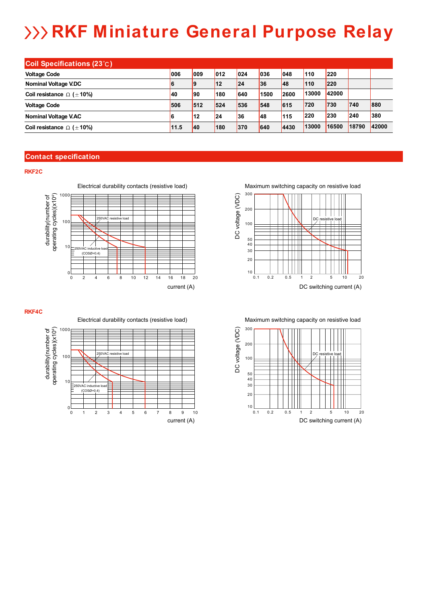| <b>Coil Specifications (23°C)</b>     |      |     |              |               |      |      |       |       |       |       |
|---------------------------------------|------|-----|--------------|---------------|------|------|-------|-------|-------|-------|
| <b>Voltage Code</b>                   | 006  | 009 | 012          | $ 024\rangle$ | 036  | 048  | 110   | 220   |       |       |
| Nominal Voltage V.DC                  | 6    | 19  | <b>12</b>    | 24            | 36   | 48   | 110   | 220   |       |       |
| Coil resistance $\Omega$ ( $\pm$ 10%) | 40   | 190 | 180          | 640           | 1500 | 2600 | 13000 | 42000 |       |       |
| <b>Voltage Code</b>                   | 506  | 512 | 524          | 536           | 548  | 615  | 720   | 730   | 740   | 880   |
| <b>Nominal Voltage V.AC</b>           | 6    | 12  | $ 24\rangle$ | 136           | 148  | 115  | 220   | 230   | 240   | 380   |
| Coil resistance $\Omega$ ( $\pm$ 10%) | 11.5 | 40  | 180          | 370           | 640  | 4430 | 13000 | 16500 | 18790 | 42000 |

### **Contact specification**

### **RKF2C**



Maximum switching capacity on resistive load Maximum switching capacity on resistive load



Maximum switching capacity on resistive load Maximum switching capacity on resistive load





 $\Omega$ ่



0 1 2 3 4 5 6 7 8

1 234567 8 9 10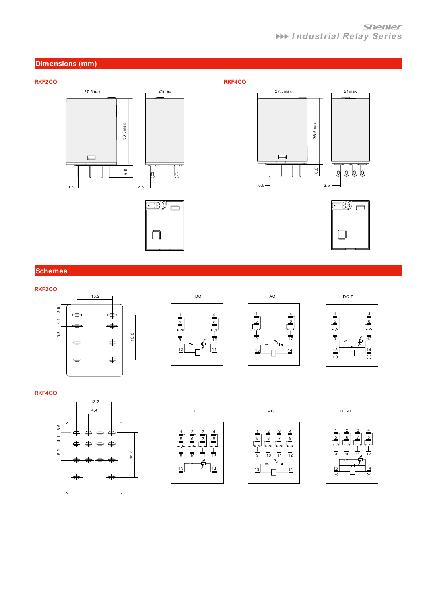## **Shenler I ndustrial Relay Series**











## **Schemes**









### **RKF4CO**









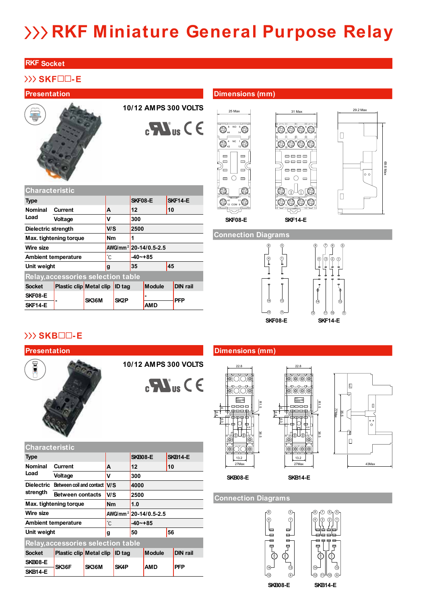### **RKF Socket**

# **SKF -E**

### **FEATURES Presentation FEATURES Presentation FEATURES Dimensions (mm)**

**Characteristic**

**Nominal Load**



**Type SKF08-E SKF14-E**

**Voltage V 300**

**Wire size AWG/mm<sup>2</sup> 20-14/0.5-2.5 Ambient temperature -40~+85**

**Unit weight g 35 45**

**Socket Plastic clip Metal clip ID tag Module DIN rail SKF08-E - SK36M SK2P - PFP**

**Dielectric strength V/S 2500 Max. tightening torque Nm 1** 

**Relay,accessories selection table**

SKF14-E **BUSINE** SNOW SNOW AMD

**Current A 12 10**

**10/12 AMPS 300 VOLTS**

 $\mathbf{C}$ 

| NO.<br>8<br>5<br>1<br>a |
|-------------------------|
| NC<br>1<br>42<br>12     |
|                         |
|                         |

 $14 - A2$   $A1 - 13$ 

25 Max

41 11 12 COM 9

G3

Q





### **Connection Diagrams**



 $\left\langle \begin{matrix} 0 \\ 0 \end{matrix} \right\rangle \oplus \left\langle \begin{matrix} 0 \\ 0 \end{matrix} \right\rangle$ IEC:<br>NEMA: T  $\sim$  11  $\sim$  8  $\sim$  81  $^{44}$   $\bigcap^{34}$   $\bigcap^{24}$   $\bigcap^{44}$ 

 $\neg \neg \neg \neg$ 

 $s \smile r \smile s \smile r$ 

H1.5 C6.5 C6.5

22.8

22.8

13.2 13.2

A2

A2 14  $\ket{\textcircled{\tiny 0}}$ COIL COIL A1 4.4

13 COLIL **U** / LU / COL A1 4.4



# **SKB -E**



**10/12 AMPS 300 VOLTS**



| <b>Characteristic</b>               |                                           |             |                   |                                   |          |               |  |                 |  |  |
|-------------------------------------|-------------------------------------------|-------------|-------------------|-----------------------------------|----------|---------------|--|-----------------|--|--|
| <b>Type</b>                         |                                           |             |                   |                                   |          | SKB08-E       |  | <b>SKB14-E</b>  |  |  |
| <b>Nominal</b><br><b>Current</b>    |                                           |             |                   | 12<br>A                           |          |               |  | 10              |  |  |
| Load                                | Voltage                                   |             |                   |                                   | 300      |               |  |                 |  |  |
| <b>Dielectric</b>                   | Between coil and contact IV/S             |             |                   |                                   | 4000     |               |  |                 |  |  |
| strength<br><b>Between contacts</b> |                                           | V/S<br>2500 |                   |                                   |          |               |  |                 |  |  |
| Max. tightening torque              |                                           |             | <b>Nm</b>         |                                   | 1.0      |               |  |                 |  |  |
| Wire size                           |                                           |             |                   | AWG/mm <sup>2</sup> 20-14/0.5-2.5 |          |               |  |                 |  |  |
|                                     | <b>Ambient temperature</b>                |             | °С                |                                   | -40~+85  |               |  |                 |  |  |
| Unit weight                         |                                           |             | g                 |                                   | 56<br>50 |               |  |                 |  |  |
|                                     | <b>Relay, accessories selection table</b> |             |                   |                                   |          |               |  |                 |  |  |
| <b>Socket</b>                       | Plastic clip Metal clip                   |             | <b>ID</b> tag     |                                   |          | <b>Module</b> |  | <b>DIN rail</b> |  |  |
| SKB08-E                             |                                           |             |                   |                                   |          |               |  |                 |  |  |
| <b>SKB14-E</b>                      | SK36F                                     | SK36M       | SK <sub>4</sub> P |                                   |          | <b>AMD</b>    |  | <b>PFP</b>      |  |  |





**Connection Diagrams** 



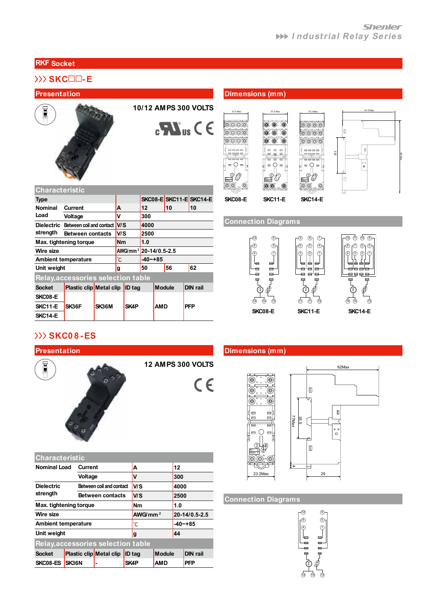### **RKF Socket**

# **SKC -E**

**Characteristic**





 $\mathbf{C}$   $\mathbf{W}_{\text{us}}$   $\mathbf{C}$   $\in$ 

**FEATURES Presentation FEATURES Presentation FEATURES Dimensions (mm)** 







**Connection Diagrams** 



# **SKC0 8 -ES**



**SKC08-E**

**Load**

**SKC14-E**



**Relay,accessories selection table**

**Dielectric Between coil and contact V/S 4000 strength Between contacts V/S 2500 Max. tightening torque Nm 1.0**

**Socket Plastic clip Metal clip ID tag Module DIN rail**

**Unit weight g 50 56 62**

**Type SKC08-E SKC11-E SKC14-E Nominal Current A 12 10 10**

**Voltage V 300**<br>**Retween coil and contact V/S 4000** 

**Wire size AWG/mm <sup>2</sup> 20-14/0.5-2.5 Ambient temperature -40~+85**

**SKC11-E SK36F SK36M SK4P AMD PFP**

**12 AMPS 300 VOLTS**

 $C \in$ 

## **FEATURES Presentation FEATURES Presentation FEATURES Dimensions (mm)**





### **Connection Diagrams**



# **Characteristic**

| <b>Nominal Load</b>        |                                           | Current<br>A             |                   |            |               | 12            |                 |  |
|----------------------------|-------------------------------------------|--------------------------|-------------------|------------|---------------|---------------|-----------------|--|
|                            |                                           | Voltage<br>v             |                   |            |               | 300           |                 |  |
| <b>Dielectric</b>          |                                           | Between coil and contact |                   | lv/S       |               | 4000          |                 |  |
| strength                   |                                           | <b>Between contacts</b>  |                   | <b>V/S</b> |               | 2500          |                 |  |
| Max. tightening torque     |                                           |                          |                   | Nm         |               | 1.0           |                 |  |
| <b>Wire size</b>           |                                           |                          |                   | AWG/mm $2$ |               | 20-14/0.5-2.5 |                 |  |
| <b>Ambient temperature</b> |                                           |                          |                   | °С         |               |               | $-40 - +85$     |  |
| Unit weight                |                                           |                          |                   | 44<br>g    |               |               |                 |  |
|                            | <b>Relay, accessories selection table</b> |                          |                   |            |               |               |                 |  |
| <b>Socket</b>              | Plastic clip Metal clip                   |                          | <b>ID</b> tag     |            | <b>Module</b> |               | <b>DIN rail</b> |  |
| SKC08-ES                   | <b>SK36N</b>                              |                          | SK <sub>4</sub> P |            | <b>AMD</b>    |               | <b>PFP</b>      |  |